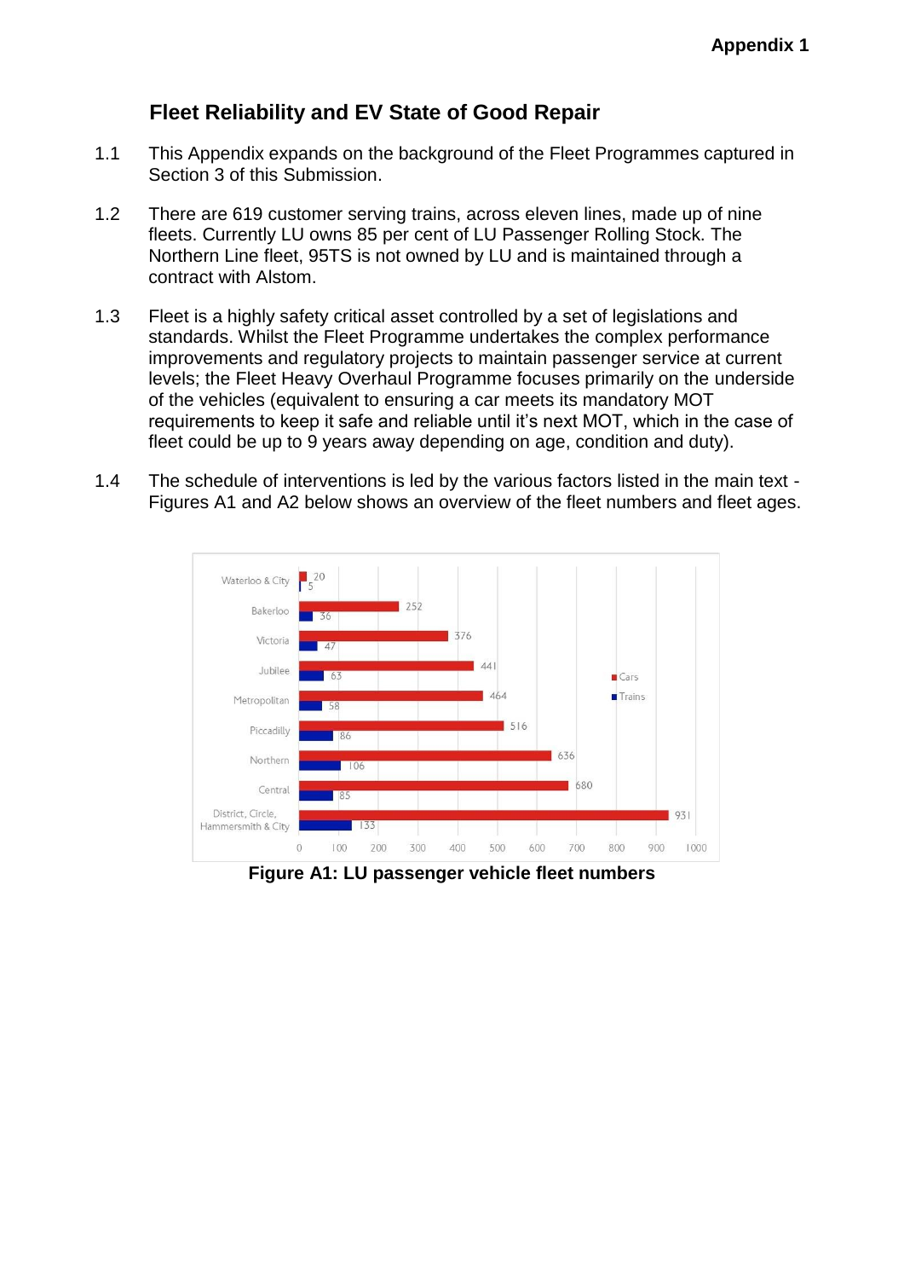## **Fleet Reliability and EV State of Good Repair**

- 1.1 This Appendix expands on the background of the Fleet Programmes captured in Section 3 of this Submission.
- 1.2 There are 619 customer serving trains, across eleven lines, made up of nine fleets. Currently LU owns 85 per cent of LU Passenger Rolling Stock. The Northern Line fleet, 95TS is not owned by LU and is maintained through a contract with Alstom.
- 1.3 Fleet is a highly safety critical asset controlled by a set of legislations and standards. Whilst the Fleet Programme undertakes the complex performance improvements and regulatory projects to maintain passenger service at current levels; the Fleet Heavy Overhaul Programme focuses primarily on the underside of the vehicles (equivalent to ensuring a car meets its mandatory MOT requirements to keep it safe and reliable until it's next MOT, which in the case of fleet could be up to 9 years away depending on age, condition and duty).
- 1.4 The schedule of interventions is led by the various factors listed in the main text Figures A1 and A2 below shows an overview of the fleet numbers and fleet ages.



**Figure A1: LU passenger vehicle fleet numbers**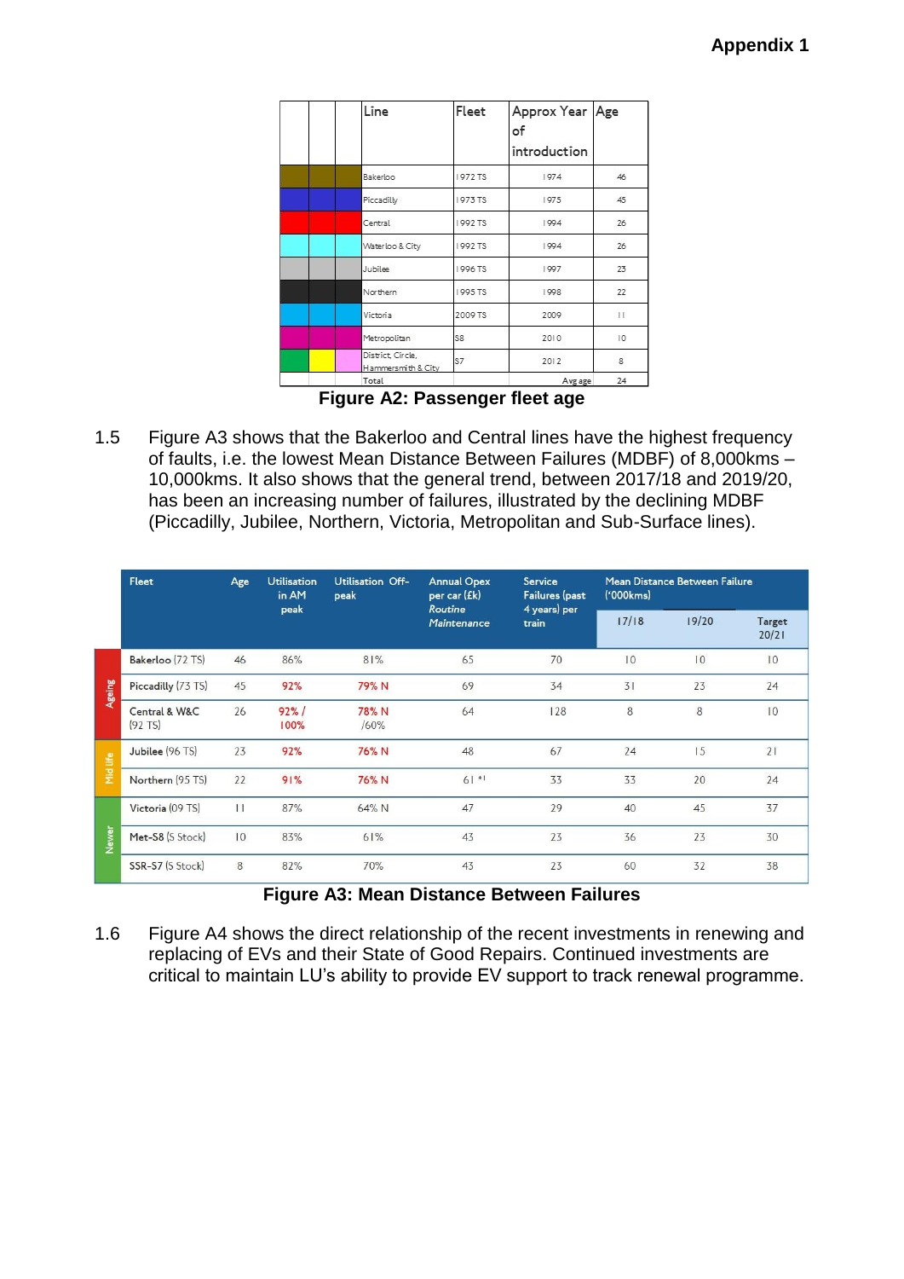| Line                                    | Fleet   | Approx Year Age<br>of<br>introduction |     |  |
|-----------------------------------------|---------|---------------------------------------|-----|--|
| Bakerloo                                | 1972 TS | 1974                                  | 46  |  |
| Piccadilly                              | 1973 TS | 1975                                  | 45  |  |
| Central                                 | 1992 TS | 1994                                  | 26  |  |
| Waterloo & City                         | 1992 TS | 1994                                  | 26  |  |
| Jubilee                                 | 1996 TS | 1997                                  | 23  |  |
| Northern                                | 1995 TS | 1998                                  | 22  |  |
| Victoria                                | 2009 TS | 2009                                  | 311 |  |
| Metropolitan                            | S8      | 2010                                  | 10  |  |
| District, Circle,<br>Hammersmith & City | S7      | 2012                                  | 8   |  |
| Total                                   |         | Avg age                               | 24  |  |

**Figure A2: Passenger fleet age**

1.5 Figure A3 shows that the Bakerloo and Central lines have the highest frequency of faults, i.e. the lowest Mean Distance Between Failures (MDBF) of 8,000kms – 10,000kms. It also shows that the general trend, between 2017/18 and 2019/20, has been an increasing number of failures, illustrated by the declining MDBF (Piccadilly, Jubilee, Northern, Victoria, Metropolitan and Sub-Surface lines).

|          | Fleet                      | Age           | <b>Utilisation</b><br>in AM | Utilisation Off-<br>peak | <b>Annual Opex</b><br>per car (£k) | Service<br>Failures (past | Mean Distance Between Failure<br>('000kms) |             |                 |
|----------|----------------------------|---------------|-----------------------------|--------------------------|------------------------------------|---------------------------|--------------------------------------------|-------------|-----------------|
|          |                            |               | peak                        |                          | Routine<br>Maintenance             | 4 years) per<br>train     | 17/18                                      | 19/20       | Target<br>20/21 |
| Ageing   | Bakerloo (72 TS)           | 46            | 86%                         | 81%                      | 65                                 | 70                        | 10                                         | $ 0\rangle$ | 10              |
|          | Piccadilly (73 TS)         | 45            | 92%                         | 79% N                    | 69                                 | 34                        | 31                                         | 23          | 24              |
|          | Central & W&C<br>$(92$ TS) | 26            | 92%<br>100%                 | 78% N<br>/60%            | 64                                 | 128                       | 8                                          | 8           | $ 0\rangle$     |
| Mid life | Jubilee (96 TS)            | 23            | 92%                         | 76% N                    | 48                                 | 67                        | 24                                         | 15          | 21              |
|          | Northern (95 TS)           | 22            | 91%                         | 76% N                    | $61 *1$                            | 33                        | 33                                         | 20          | 24              |
| Newer    | Victoria (09 TS)           | $\vert \vert$ | 87%                         | 64% N                    | 47                                 | 29                        | 40                                         | 45          | 37              |
|          | Met-S8 (S Stock)           | 10            | 83%                         | 61%                      | 43                                 | 23                        | 36                                         | 23          | 30              |
|          | SSR-S7 (S Stock)           | 8             | 82%                         | 70%                      | 43                                 | 23                        | 60                                         | 32          | 38              |

## **Figure A3: Mean Distance Between Failures**

1.6 Figure A4 shows the direct relationship of the recent investments in renewing and replacing of EVs and their State of Good Repairs. Continued investments are critical to maintain LU's ability to provide EV support to track renewal programme.